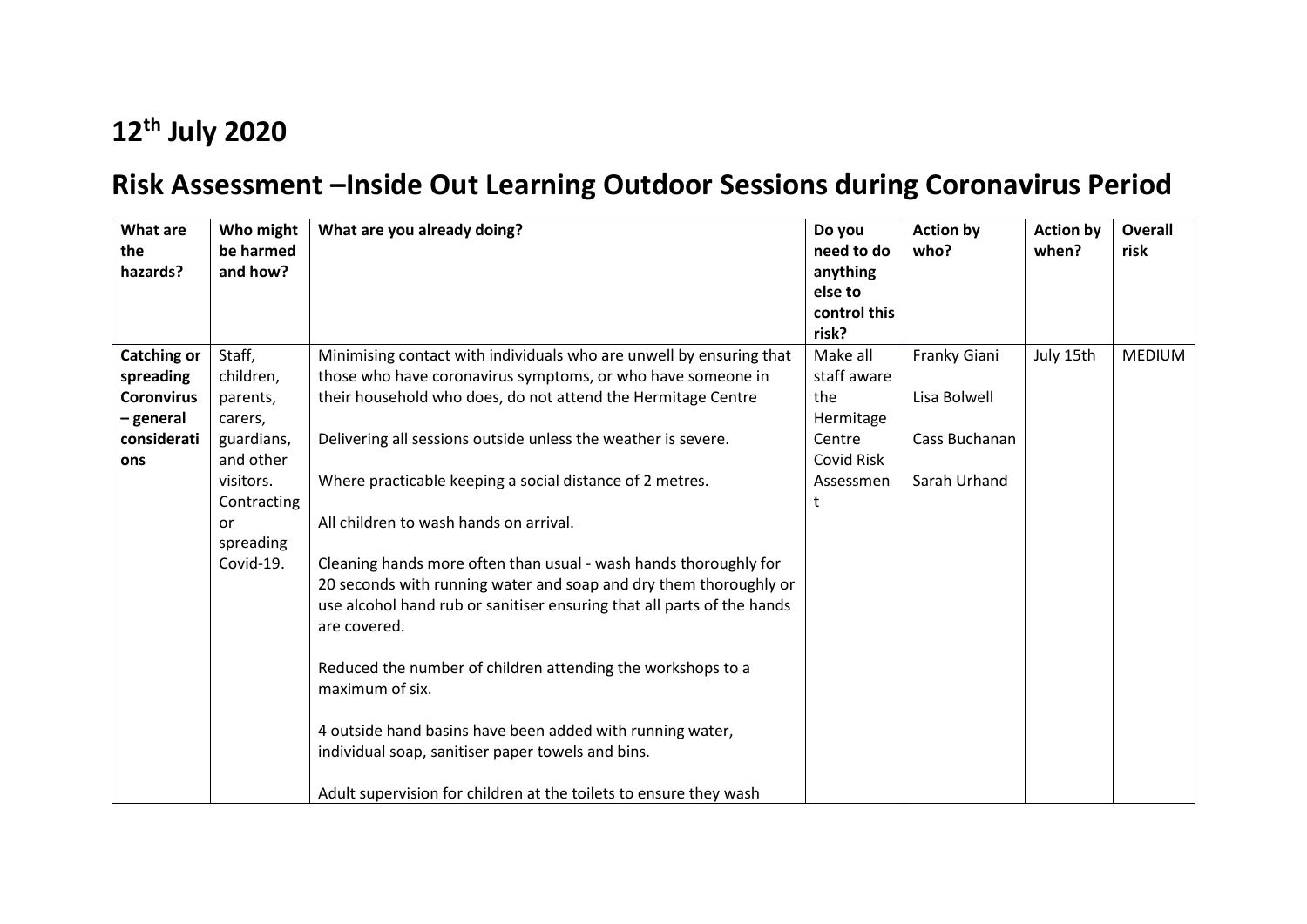## **12th July 2020**

## **Risk Assessment –Inside Out Learning Outdoor Sessions during Coronavirus Period**

| What are<br>the<br>hazards?    | Who might<br>be harmed<br>and how? | What are you already doing?                                                                                                                                                                                                     | Do you<br>need to do<br>anything<br>else to<br>control this<br>risk? | <b>Action by</b><br>who? | <b>Action by</b><br>when? | Overall<br>risk |
|--------------------------------|------------------------------------|---------------------------------------------------------------------------------------------------------------------------------------------------------------------------------------------------------------------------------|----------------------------------------------------------------------|--------------------------|---------------------------|-----------------|
| <b>Catching or</b>             | Staff,                             | Minimising contact with individuals who are unwell by ensuring that                                                                                                                                                             | Make all                                                             | Franky Giani             | July 15th                 | <b>MEDIUM</b>   |
| spreading                      | children,                          | those who have coronavirus symptoms, or who have someone in                                                                                                                                                                     | staff aware                                                          |                          |                           |                 |
| <b>Coronvirus</b><br>- general | parents,<br>carers,                | their household who does, do not attend the Hermitage Centre                                                                                                                                                                    | the<br>Hermitage                                                     | Lisa Bolwell             |                           |                 |
| considerati<br>ons             | guardians,<br>and other            | Delivering all sessions outside unless the weather is severe.                                                                                                                                                                   | Centre<br>Covid Risk                                                 | Cass Buchanan            |                           |                 |
|                                | visitors.<br>Contracting           | Where practicable keeping a social distance of 2 metres.                                                                                                                                                                        | Assessmen                                                            | Sarah Urhand             |                           |                 |
|                                | or<br>spreading                    | All children to wash hands on arrival.                                                                                                                                                                                          |                                                                      |                          |                           |                 |
|                                | Covid-19.                          | Cleaning hands more often than usual - wash hands thoroughly for<br>20 seconds with running water and soap and dry them thoroughly or<br>use alcohol hand rub or sanitiser ensuring that all parts of the hands<br>are covered. |                                                                      |                          |                           |                 |
|                                |                                    | Reduced the number of children attending the workshops to a<br>maximum of six.                                                                                                                                                  |                                                                      |                          |                           |                 |
|                                |                                    | 4 outside hand basins have been added with running water,<br>individual soap, sanitiser paper towels and bins.                                                                                                                  |                                                                      |                          |                           |                 |
|                                |                                    | Adult supervision for children at the toilets to ensure they wash                                                                                                                                                               |                                                                      |                          |                           |                 |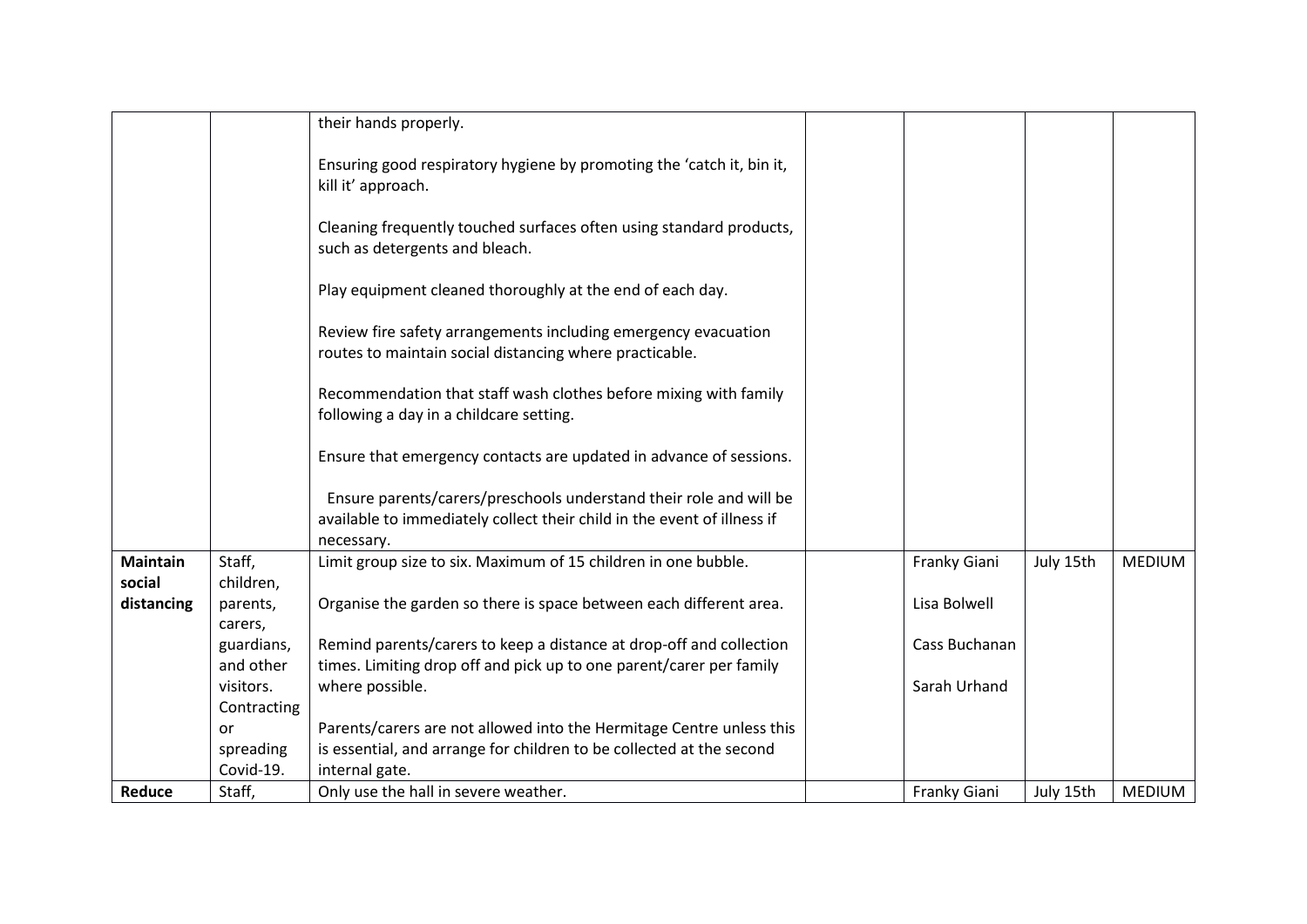|                           |                         | their hands properly.                                                                                                                                       |               |           |               |
|---------------------------|-------------------------|-------------------------------------------------------------------------------------------------------------------------------------------------------------|---------------|-----------|---------------|
|                           |                         | Ensuring good respiratory hygiene by promoting the 'catch it, bin it,<br>kill it' approach.                                                                 |               |           |               |
|                           |                         | Cleaning frequently touched surfaces often using standard products,<br>such as detergents and bleach.                                                       |               |           |               |
|                           |                         | Play equipment cleaned thoroughly at the end of each day.                                                                                                   |               |           |               |
|                           |                         | Review fire safety arrangements including emergency evacuation<br>routes to maintain social distancing where practicable.                                   |               |           |               |
|                           |                         | Recommendation that staff wash clothes before mixing with family<br>following a day in a childcare setting.                                                 |               |           |               |
|                           |                         | Ensure that emergency contacts are updated in advance of sessions.                                                                                          |               |           |               |
|                           |                         | Ensure parents/carers/preschools understand their role and will be<br>available to immediately collect their child in the event of illness if<br>necessary. |               |           |               |
| <b>Maintain</b><br>social | Staff,<br>children,     | Limit group size to six. Maximum of 15 children in one bubble.                                                                                              | Franky Giani  | July 15th | <b>MEDIUM</b> |
| distancing                | parents,<br>carers,     | Organise the garden so there is space between each different area.                                                                                          | Lisa Bolwell  |           |               |
|                           | guardians,<br>and other | Remind parents/carers to keep a distance at drop-off and collection<br>times. Limiting drop off and pick up to one parent/carer per family                  | Cass Buchanan |           |               |
|                           | visitors.               | where possible.                                                                                                                                             | Sarah Urhand  |           |               |
|                           | Contracting             |                                                                                                                                                             |               |           |               |
|                           | or                      | Parents/carers are not allowed into the Hermitage Centre unless this                                                                                        |               |           |               |
|                           | spreading               | is essential, and arrange for children to be collected at the second                                                                                        |               |           |               |
|                           | Covid-19.               | internal gate.                                                                                                                                              |               |           |               |
| Reduce                    | Staff,                  | Only use the hall in severe weather.                                                                                                                        | Franky Giani  | July 15th | <b>MEDIUM</b> |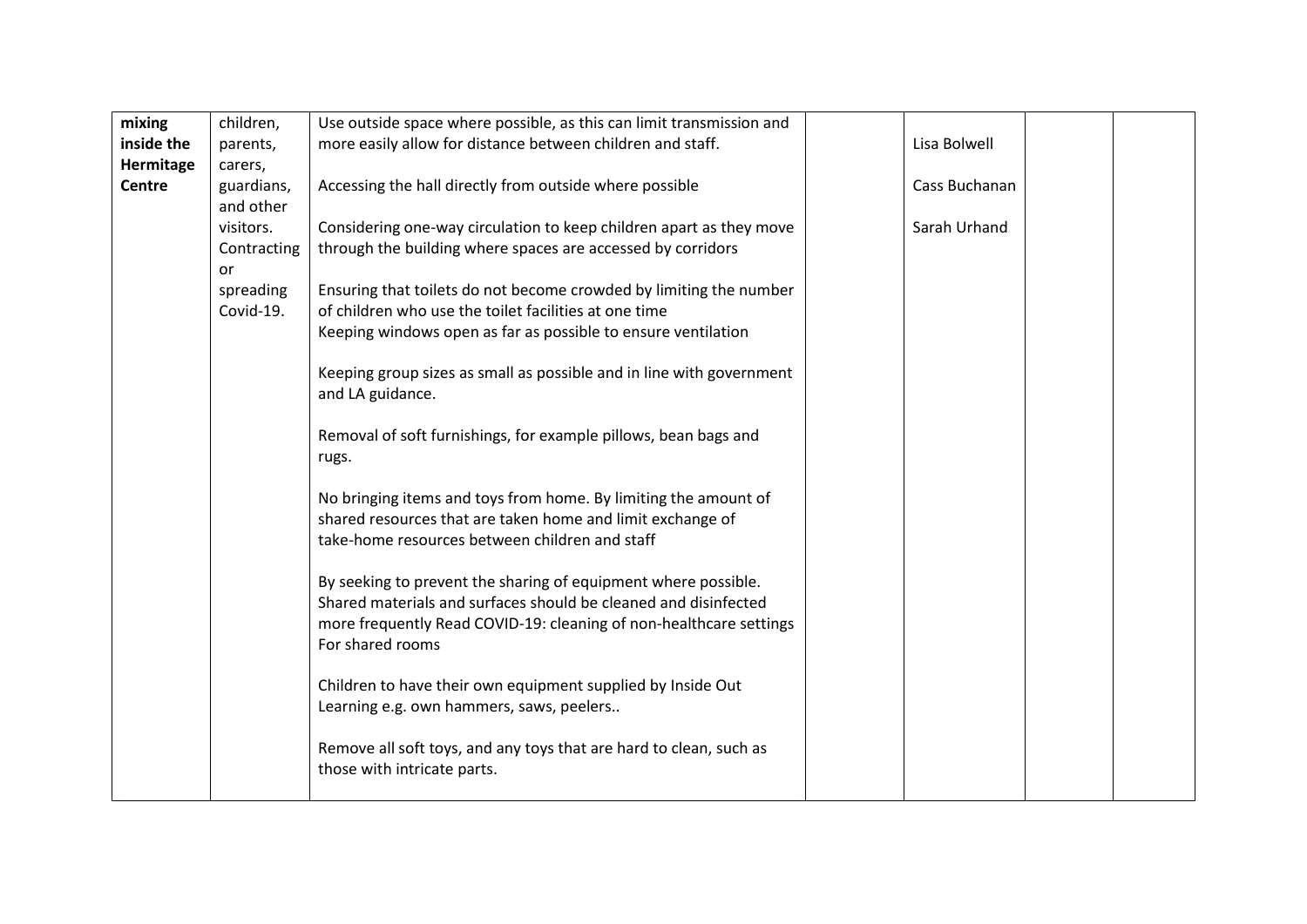| mixing        | children,   | Use outside space where possible, as this can limit transmission and |               |  |
|---------------|-------------|----------------------------------------------------------------------|---------------|--|
| inside the    | parents,    | more easily allow for distance between children and staff.           | Lisa Bolwell  |  |
| Hermitage     | carers,     |                                                                      |               |  |
| <b>Centre</b> | guardians,  | Accessing the hall directly from outside where possible              | Cass Buchanan |  |
|               | and other   |                                                                      |               |  |
|               | visitors.   | Considering one-way circulation to keep children apart as they move  | Sarah Urhand  |  |
|               | Contracting | through the building where spaces are accessed by corridors          |               |  |
|               | or          |                                                                      |               |  |
|               | spreading   | Ensuring that toilets do not become crowded by limiting the number   |               |  |
|               | Covid-19.   | of children who use the toilet facilities at one time                |               |  |
|               |             | Keeping windows open as far as possible to ensure ventilation        |               |  |
|               |             |                                                                      |               |  |
|               |             | Keeping group sizes as small as possible and in line with government |               |  |
|               |             | and LA guidance.                                                     |               |  |
|               |             |                                                                      |               |  |
|               |             | Removal of soft furnishings, for example pillows, bean bags and      |               |  |
|               |             | rugs.                                                                |               |  |
|               |             | No bringing items and toys from home. By limiting the amount of      |               |  |
|               |             | shared resources that are taken home and limit exchange of           |               |  |
|               |             | take-home resources between children and staff                       |               |  |
|               |             |                                                                      |               |  |
|               |             | By seeking to prevent the sharing of equipment where possible.       |               |  |
|               |             | Shared materials and surfaces should be cleaned and disinfected      |               |  |
|               |             | more frequently Read COVID-19: cleaning of non-healthcare settings   |               |  |
|               |             | For shared rooms                                                     |               |  |
|               |             |                                                                      |               |  |
|               |             | Children to have their own equipment supplied by Inside Out          |               |  |
|               |             | Learning e.g. own hammers, saws, peelers                             |               |  |
|               |             |                                                                      |               |  |
|               |             | Remove all soft toys, and any toys that are hard to clean, such as   |               |  |
|               |             | those with intricate parts.                                          |               |  |
|               |             |                                                                      |               |  |